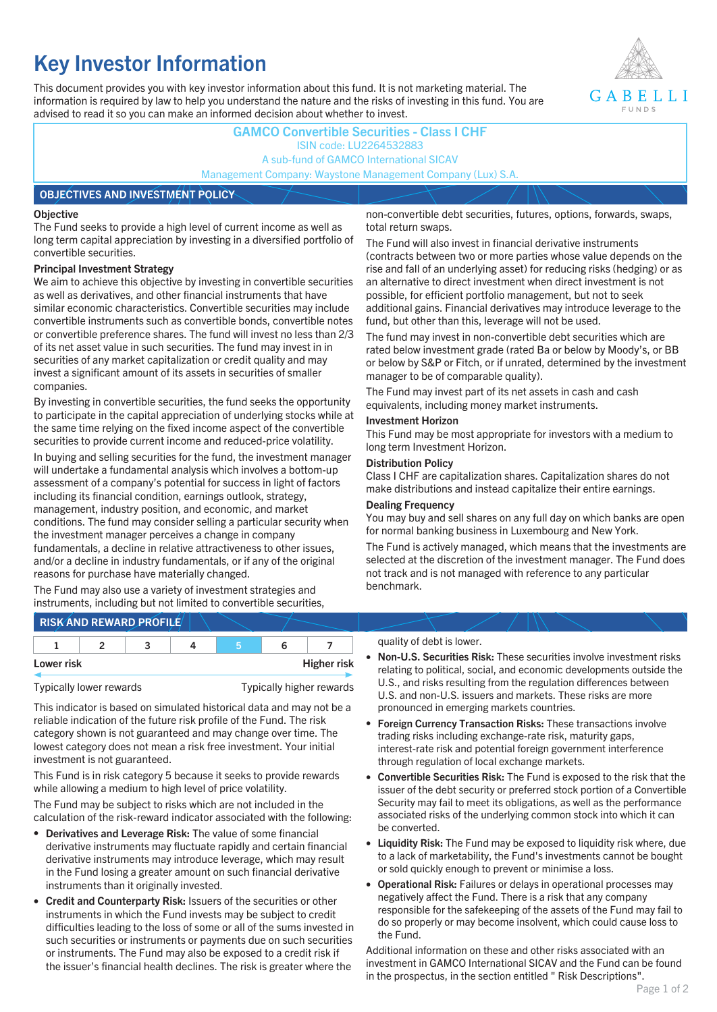# **Key Investor Information**

This document provides you with key investor information about this fund. It is not marketing material. The information is required by law to help you understand the nature and the risks of investing in this fund. You are advised to read it so you can make an informed decision about whether to invest.



### **GAMCO Convertible Securities - Class I CHF** ISIN code: LU2264532883 A sub-fund of GAMCO International SICAV Management Company: Waystone Management Company (Lux) S.A.

#### **OBJECTIVES AND INVESTMENT POLICY**

#### **Objective**

The Fund seeks to provide a high level of current income as well as long term capital appreciation by investing in a diversified portfolio of convertible securities.

#### **Principal Investment Strategy**

We aim to achieve this objective by investing in convertible securities as well as derivatives, and other financial instruments that have similar economic characteristics. Convertible securities may include convertible instruments such as convertible bonds, convertible notes or convertible preference shares. The fund will invest no less than 2/3 of its net asset value in such securities. The fund may invest in in securities of any market capitalization or credit quality and may invest a significant amount of its assets in securities of smaller companies.

By investing in convertible securities, the fund seeks the opportunity to participate in the capital appreciation of underlying stocks while at the same time relying on the fixed income aspect of the convertible securities to provide current income and reduced-price volatility.

In buying and selling securities for the fund, the investment manager will undertake a fundamental analysis which involves a bottom-up assessment of a company's potential for success in light of factors including its financial condition, earnings outlook, strategy, management, industry position, and economic, and market conditions. The fund may consider selling a particular security when the investment manager perceives a change in company fundamentals, a decline in relative attractiveness to other issues, and/or a decline in industry fundamentals, or if any of the original reasons for purchase have materially changed.

The Fund may also use a variety of investment strategies and instruments, including but not limited to convertible securities, non-convertible debt securities, futures, options, forwards, swaps, total return swaps.

The Fund will also invest in financial derivative instruments (contracts between two or more parties whose value depends on the rise and fall of an underlying asset) for reducing risks (hedging) or as an alternative to direct investment when direct investment is not possible, for efficient portfolio management, but not to seek additional gains. Financial derivatives may introduce leverage to the fund, but other than this, leverage will not be used.

The fund may invest in non-convertible debt securities which are rated below investment grade (rated Ba or below by Moody's, or BB or below by S&P or Fitch, or if unrated, determined by the investment manager to be of comparable quality).

The Fund may invest part of its net assets in cash and cash equivalents, including money market instruments.

#### **Investment Horizon**

This Fund may be most appropriate for investors with a medium to long term Investment Horizon.

#### **Distribution Policy**

Class I CHF are capitalization shares. Capitalization shares do not make distributions and instead capitalize their entire earnings.

#### **Dealing Frequency**

You may buy and sell shares on any full day on which banks are open for normal banking business in Luxembourg and New York.

The Fund is actively managed, which means that the investments are selected at the discretion of the investment manager. The Fund does not track and is not managed with reference to any particular benchmark.

## **RISK AND REWARD PROFILE**

|            |  | ∽ |  |                    |
|------------|--|---|--|--------------------|
| Lower risk |  |   |  | <b>Higher risk</b> |

This indicator is based on simulated historical data and may not be a reliable indication of the future risk profile of the Fund. The risk category shown is not guaranteed and may change over time. The lowest category does not mean a risk free investment. Your initial investment is not guaranteed.

This Fund is in risk category 5 because it seeks to provide rewards while allowing a medium to high level of price volatility.

The Fund may be subject to risks which are not included in the calculation of the risk-reward indicator associated with the following:

- **Derivatives and Leverage Risk:** The value of some financial derivative instruments may fluctuate rapidly and certain financial derivative instruments may introduce leverage, which may result in the Fund losing a greater amount on such financial derivative instruments than it originally invested.
- **Credit and Counterparty Risk:** Issuers of the securities or other instruments in which the Fund invests may be subject to credit difficulties leading to the loss of some or all of the sums invested in such securities or instruments or payments due on such securities or instruments. The Fund may also be exposed to a credit risk if the issuer's financial health declines. The risk is greater where the

#### quality of debt is lower.

- **Non-U.S. Securities Risk:** These securities involve investment risks relating to political, social, and economic developments outside the U.S., and risks resulting from the regulation differences between U.S. and non-U.S. issuers and markets. These risks are more pronounced in emerging markets countries.
- **Foreign Currency Transaction Risks:** These transactions involve trading risks including exchange-rate risk, maturity gaps, interest-rate risk and potential foreign government interference through regulation of local exchange markets.
- **Convertible Securities Risk:** The Fund is exposed to the risk that the issuer of the debt security or preferred stock portion of a Convertible Security may fail to meet its obligations, as well as the performance associated risks of the underlying common stock into which it can be converted.
- **Liquidity Risk:** The Fund may be exposed to liquidity risk where, due to a lack of marketability, the Fund's investments cannot be bought or sold quickly enough to prevent or minimise a loss.
- **Operational Risk:** Failures or delays in operational processes may negatively affect the Fund. There is a risk that any company responsible for the safekeeping of the assets of the Fund may fail to do so properly or may become insolvent, which could cause loss to the Fund.

Additional information on these and other risks associated with an investment in GAMCO International SICAV and the Fund can be found in the prospectus, in the section entitled " Risk Descriptions".

Typically lower rewards Typically higher rewards